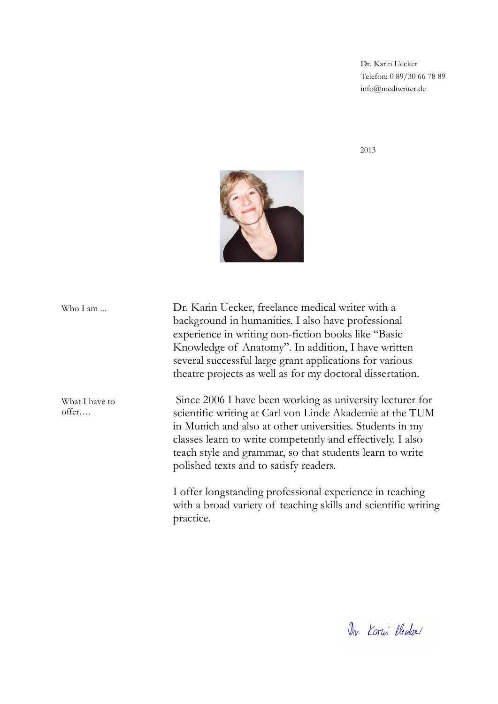Dr. Karin Uecker Telefon: 0 89/30 66 78 89 info@mediwriter.de

2013



Dr. Karin Uecker, freelance medical writer with a background in humanities. I also have professional experience in writing non-fiction books like "Basic Knowledge of Anatomy". In addition, I have written several successful large grant applications for various theatre projects as well as for my doctoral dissertation. Since 2006 I have been working as university lecturer for scientific writing at Carl von Linde Akademie at the TUM in Munich and also at other universities. Students in my classes learn to write competently and effectively. I also teach style and grammar, so that students learn to write polished texts and to satisfy readers. Who I am ... What I have to offer….

> I offer longstanding professional experience in teaching with a broad variety of teaching skills and scientific writing practice.

Dr. Korni Plecke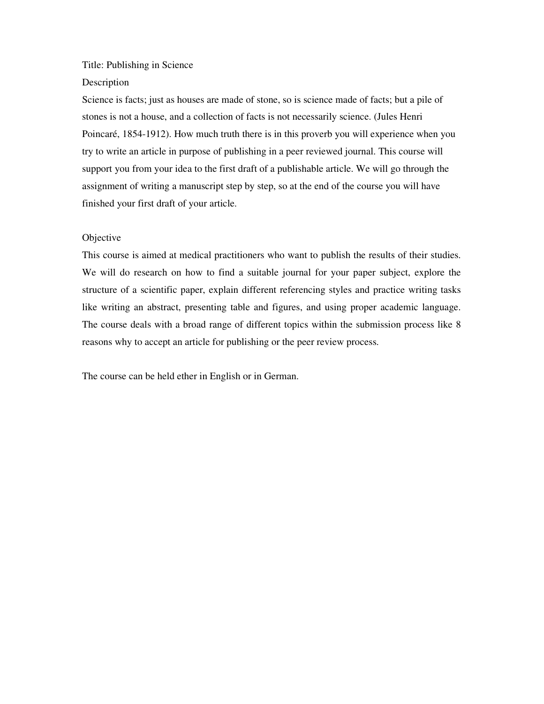### Title: Publishing in Science

### Description

Science is facts; just as houses are made of stone, so is science made of facts; but a pile of stones is not a house, and a collection of facts is not necessarily science. (Jules Henri Poincaré, 1854-1912). How much truth there is in this proverb you will experience when you try to write an article in purpose of publishing in a peer reviewed journal. This course will support you from your idea to the first draft of a publishable article. We will go through the assignment of writing a manuscript step by step, so at the end of the course you will have finished your first draft of your article.

### Objective

This course is aimed at medical practitioners who want to publish the results of their studies. We will do research on how to find a suitable journal for your paper subject, explore the structure of a scientific paper, explain different referencing styles and practice writing tasks like writing an abstract, presenting table and figures, and using proper academic language. The course deals with a broad range of different topics within the submission process like 8 reasons why to accept an article for publishing or the peer review process.

The course can be held ether in English or in German.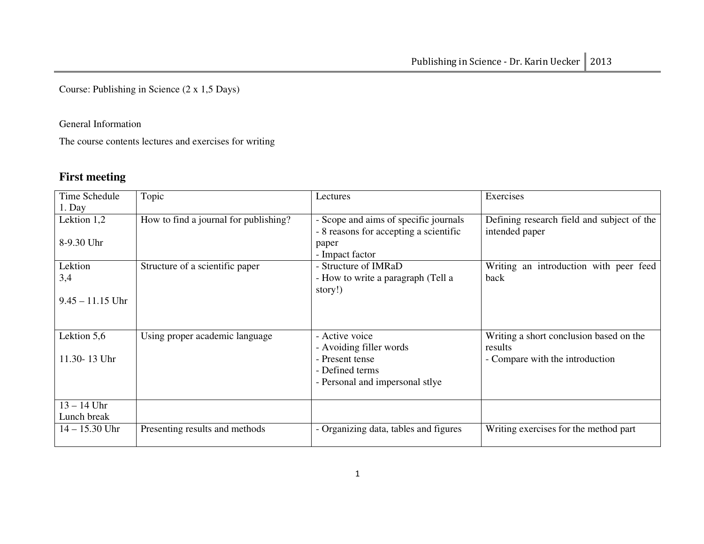Course: Publishing in Science (2 x 1,5 Days)

### General Information

The course contents lectures and exercises for writing

## **First meeting**

| Time Schedule      | Topic                                 | Lectures                               | Exercises                                  |
|--------------------|---------------------------------------|----------------------------------------|--------------------------------------------|
| 1. Day             |                                       |                                        |                                            |
| Lektion 1,2        | How to find a journal for publishing? | - Scope and aims of specific journals  | Defining research field and subject of the |
|                    |                                       | - 8 reasons for accepting a scientific | intended paper                             |
| 8-9.30 Uhr         |                                       | paper                                  |                                            |
|                    |                                       | - Impact factor                        |                                            |
| Lektion            | Structure of a scientific paper       | - Structure of IMRaD                   | Writing an introduction with peer feed     |
| 3,4                |                                       | - How to write a paragraph (Tell a     | back                                       |
|                    |                                       | story!)                                |                                            |
| $9.45 - 11.15$ Uhr |                                       |                                        |                                            |
|                    |                                       |                                        |                                            |
|                    |                                       |                                        |                                            |
| Lektion 5,6        | Using proper academic language        | - Active voice                         | Writing a short conclusion based on the    |
|                    |                                       | - Avoiding filler words                | results                                    |
| 11.30-13 Uhr       |                                       | - Present tense                        | - Compare with the introduction            |
|                    |                                       | - Defined terms                        |                                            |
|                    |                                       | - Personal and impersonal stlye        |                                            |
|                    |                                       |                                        |                                            |
| $13 - 14$ Uhr      |                                       |                                        |                                            |
| Lunch break        |                                       |                                        |                                            |
| $14 - 15.30$ Uhr   | Presenting results and methods        | - Organizing data, tables and figures  | Writing exercises for the method part      |
|                    |                                       |                                        |                                            |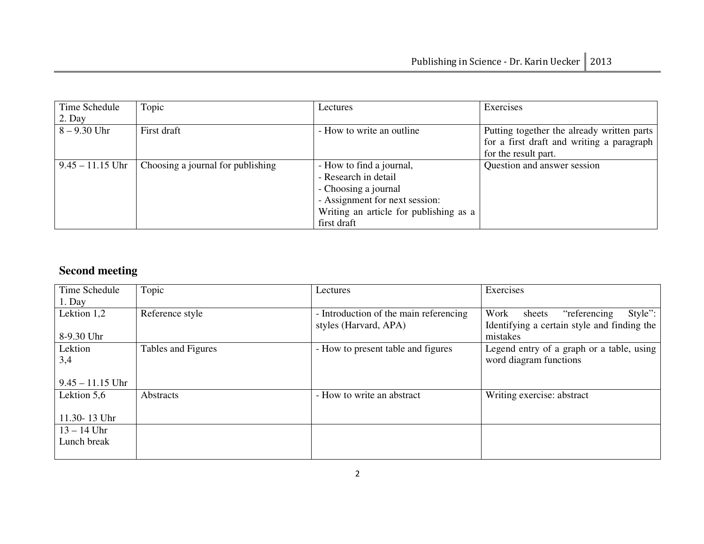| Time Schedule      | Topic                             | Lectures                               | Exercises                                                                               |
|--------------------|-----------------------------------|----------------------------------------|-----------------------------------------------------------------------------------------|
| 2. Day             |                                   |                                        |                                                                                         |
| $8 - 9.30$ Uhr     | First draft                       | - How to write an outline              | Putting together the already written parts<br>for a first draft and writing a paragraph |
|                    |                                   |                                        | for the result part.                                                                    |
|                    |                                   |                                        |                                                                                         |
| $9.45 - 11.15$ Uhr | Choosing a journal for publishing | - How to find a journal,               | Question and answer session                                                             |
|                    |                                   | - Research in detail                   |                                                                                         |
|                    |                                   | - Choosing a journal                   |                                                                                         |
|                    |                                   | - Assignment for next session:         |                                                                                         |
|                    |                                   | Writing an article for publishing as a |                                                                                         |
|                    |                                   | first draft                            |                                                                                         |

## **Second meeting**

| Time Schedule      | Topic              | Lectures                               | Exercises                                   |
|--------------------|--------------------|----------------------------------------|---------------------------------------------|
| $1.$ Day           |                    |                                        |                                             |
| Lektion 1,2        | Reference style    | - Introduction of the main referencing | Style":<br>Work<br>"referencing"<br>sheets  |
|                    |                    | styles (Harvard, APA)                  | Identifying a certain style and finding the |
| 8-9.30 Uhr         |                    |                                        | mistakes                                    |
| Lektion            | Tables and Figures | - How to present table and figures     | Legend entry of a graph or a table, using   |
| 3,4                |                    |                                        | word diagram functions                      |
|                    |                    |                                        |                                             |
| $9.45 - 11.15$ Uhr |                    |                                        |                                             |
| Lektion 5,6        | <b>Abstracts</b>   | - How to write an abstract             | Writing exercise: abstract                  |
|                    |                    |                                        |                                             |
| 11.30-13 Uhr       |                    |                                        |                                             |
| $13 - 14$ Uhr      |                    |                                        |                                             |
| Lunch break        |                    |                                        |                                             |
|                    |                    |                                        |                                             |